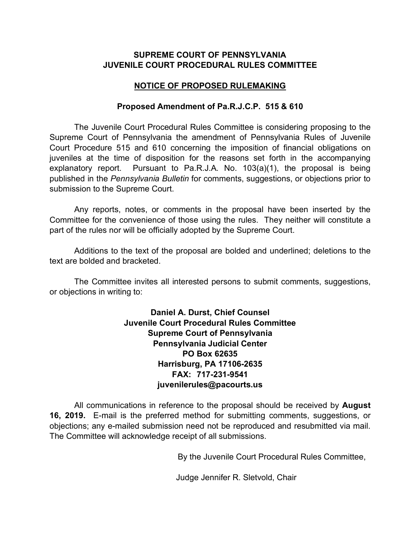## **SUPREME COURT OF PENNSYLVANIA JUVENILE COURT PROCEDURAL RULES COMMITTEE**

## **NOTICE OF PROPOSED RULEMAKING**

### **Proposed Amendment of Pa.R.J.C.P. 515 & 610**

The Juvenile Court Procedural Rules Committee is considering proposing to the Supreme Court of Pennsylvania the amendment of Pennsylvania Rules of Juvenile Court Procedure 515 and 610 concerning the imposition of financial obligations on juveniles at the time of disposition for the reasons set forth in the accompanying explanatory report. Pursuant to Pa.R.J.A. No. 103(a)(1), the proposal is being published in the *Pennsylvania Bulletin* for comments, suggestions, or objections prior to submission to the Supreme Court.

Any reports, notes, or comments in the proposal have been inserted by the Committee for the convenience of those using the rules. They neither will constitute a part of the rules nor will be officially adopted by the Supreme Court.

Additions to the text of the proposal are bolded and underlined; deletions to the text are bolded and bracketed.

The Committee invites all interested persons to submit comments, suggestions, or objections in writing to:

> **Daniel A. Durst, Chief Counsel Juvenile Court Procedural Rules Committee Supreme Court of Pennsylvania Pennsylvania Judicial Center PO Box 62635 Harrisburg, PA 17106-2635 FAX: 717-231-9541 juvenilerules@pacourts.us**

All communications in reference to the proposal should be received by **August 16, 2019.** E-mail is the preferred method for submitting comments, suggestions, or objections; any e-mailed submission need not be reproduced and resubmitted via mail. The Committee will acknowledge receipt of all submissions.

By the Juvenile Court Procedural Rules Committee,

Judge Jennifer R. Sletvold, Chair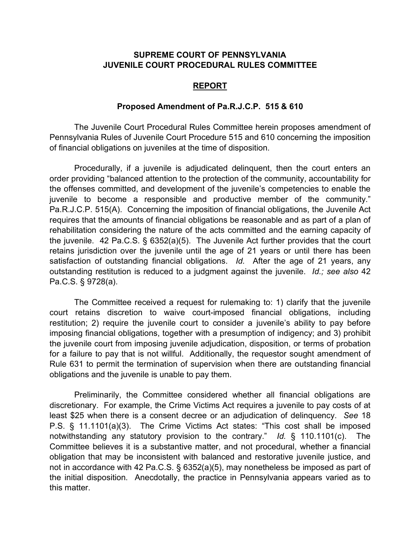### **SUPREME COURT OF PENNSYLVANIA JUVENILE COURT PROCEDURAL RULES COMMITTEE**

#### **REPORT**

#### **Proposed Amendment of Pa.R.J.C.P. 515 & 610**

The Juvenile Court Procedural Rules Committee herein proposes amendment of Pennsylvania Rules of Juvenile Court Procedure 515 and 610 concerning the imposition of financial obligations on juveniles at the time of disposition.

Procedurally, if a juvenile is adjudicated delinquent, then the court enters an order providing "balanced attention to the protection of the community, accountability for the offenses committed, and development of the juvenile's competencies to enable the juvenile to become a responsible and productive member of the community." Pa.R.J.C.P. 515(A). Concerning the imposition of financial obligations, the Juvenile Act requires that the amounts of financial obligations be reasonable and as part of a plan of rehabilitation considering the nature of the acts committed and the earning capacity of the juvenile. 42 Pa.C.S. § 6352(a)(5). The Juvenile Act further provides that the court retains jurisdiction over the juvenile until the age of 21 years or until there has been satisfaction of outstanding financial obligations. *Id.* After the age of 21 years, any outstanding restitution is reduced to a judgment against the juvenile. *Id.; see also* 42 Pa.C.S. § 9728(a).

The Committee received a request for rulemaking to: 1) clarify that the juvenile court retains discretion to waive court-imposed financial obligations, including restitution; 2) require the juvenile court to consider a juvenile's ability to pay before imposing financial obligations, together with a presumption of indigency; and 3) prohibit the juvenile court from imposing juvenile adjudication, disposition, or terms of probation for a failure to pay that is not willful. Additionally, the requestor sought amendment of Rule 631 to permit the termination of supervision when there are outstanding financial obligations and the juvenile is unable to pay them.

Preliminarily, the Committee considered whether all financial obligations are discretionary. For example, the Crime Victims Act requires a juvenile to pay costs of at least \$25 when there is a consent decree or an adjudication of delinquency. *See* 18 P.S. § 11.1101(a)(3). The Crime Victims Act states: "This cost shall be imposed notwithstanding any statutory provision to the contrary." *Id.* § 110.1101(c). The Committee believes it is a substantive matter, and not procedural, whether a financial obligation that may be inconsistent with balanced and restorative juvenile justice, and not in accordance with 42 Pa.C.S. § 6352(a)(5), may nonetheless be imposed as part of the initial disposition. Anecdotally, the practice in Pennsylvania appears varied as to this matter.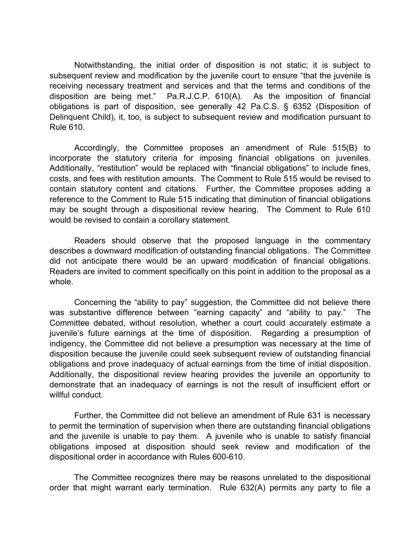Notwithstanding, the initial order of disposition is not static; it is subject to subsequent review and modification by the juvenile court to ensure "that the juvenile is receiving necessary treatment and services and that the terms and conditions of the disposition are being met." Pa.R.J.C.P. 610(A). As the imposition of financial obligations is part of disposition, see generally 42 Pa.C.S. § 6352 (Disposition of Delinquent Child), it, too, is subject to subsequent review and modification pursuant to Rule 610.

Accordingly, the Committee proposes an amendment of Rule 515(B) to incorporate the statutory criteria for imposing financial obligations on juveniles. Additionally, "restitution" would be replaced with "financial obligations" to include fines, costs, and fees with restitution amounts. The Comment to Rule 515 would be revised to contain statutory content and citations. Further, the Committee proposes adding a reference to the Comment to Rule 515 indicating that diminution of financial obligations may be sought through a dispositional review hearing. The Comment to Rule 610 would be revised to contain a corollary statement.

Readers should observe that the proposed language in the commentary describes a downward modification of outstanding financial obligations. The Committee did not anticipate there would be an upward modification of financial obligations. Readers are invited to comment specifically on this point in addition to the proposal as a whole.

Concerning the "ability to pay" suggestion, the Committee did not believe there was substantive difference between "earning capacity" and "ability to pay." The Committee debated, without resolution, whether a court could accurately estimate a juvenile's future earnings at the time of disposition. Regarding a presumption of indigency, the Committee did not believe a presumption was necessary at the time of disposition because the juvenile could seek subsequent review of outstanding financial obligations and prove inadequacy of actual earnings from the time of initial disposition. Additionally, the dispositional review hearing provides the juvenile an opportunity to demonstrate that an inadequacy of earnings is not the result of insufficient effort or willful conduct.

Further, the Committee did not believe an amendment of Rule 631 is necessary to permit the termination of supervision when there are outstanding financial obligations and the juvenile is unable to pay them. A juvenile who is unable to satisfy financial obligations imposed at disposition should seek review and modification of the dispositional order in accordance with Rules 600-610.

The Committee recognizes there may be reasons unrelated to the dispositional order that might warrant early termination. Rule 632(A) permits any party to file a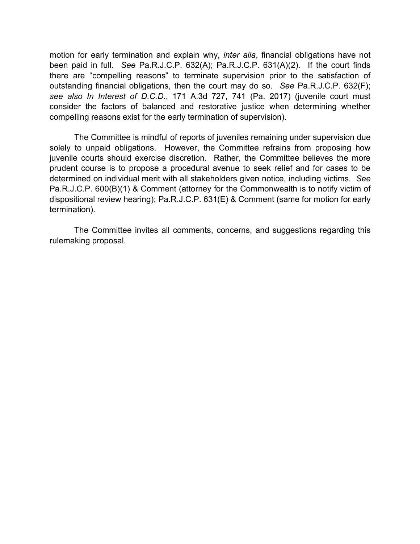motion for early termination and explain why, *inter alia*, financial obligations have not been paid in full. *See* Pa.R.J.C.P. 632(A); Pa.R.J.C.P. 631(A)(2). If the court finds there are "compelling reasons" to terminate supervision prior to the satisfaction of outstanding financial obligations, then the court may do so. *See* Pa.R.J.C.P. 632(F); *see also In Interest of D.C.D.*, 171 A.3d 727, 741 (Pa. 2017) (juvenile court must consider the factors of balanced and restorative justice when determining whether compelling reasons exist for the early termination of supervision).

The Committee is mindful of reports of juveniles remaining under supervision due solely to unpaid obligations. However, the Committee refrains from proposing how juvenile courts should exercise discretion. Rather, the Committee believes the more prudent course is to propose a procedural avenue to seek relief and for cases to be determined on individual merit with all stakeholders given notice, including victims. *See* Pa.R.J.C.P. 600(B)(1) & Comment (attorney for the Commonwealth is to notify victim of dispositional review hearing); Pa.R.J.C.P. 631(E) & Comment (same for motion for early termination).

The Committee invites all comments, concerns, and suggestions regarding this rulemaking proposal.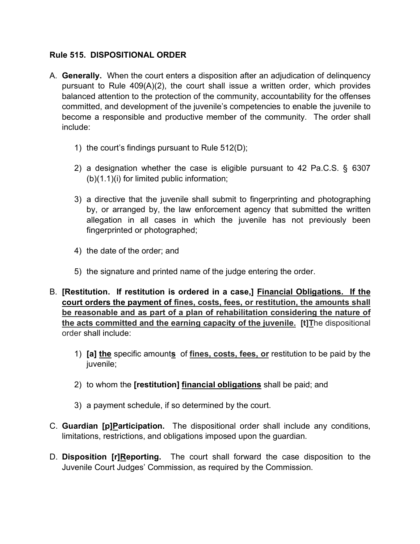# **Rule 515. DISPOSITIONAL ORDER**

- A. **Generally.** When the court enters a disposition after an adjudication of delinquency pursuant to Rule 409(A)(2), the court shall issue a written order, which provides balanced attention to the protection of the community, accountability for the offenses committed, and development of the juvenile's competencies to enable the juvenile to become a responsible and productive member of the community. The order shall include:
	- 1) the court's findings pursuant to Rule 512(D);
	- 2) a designation whether the case is eligible pursuant to 42 Pa.C.S. § 6307 (b)(1.1)(i) for limited public information;
	- 3) a directive that the juvenile shall submit to fingerprinting and photographing by, or arranged by, the law enforcement agency that submitted the written allegation in all cases in which the juvenile has not previously been fingerprinted or photographed;
	- 4) the date of the order; and
	- 5) the signature and printed name of the judge entering the order.
- B. **[Restitution. If restitution is ordered in a case,] Financial Obligations. If the court orders the payment of fines, costs, fees, or restitution, the amounts shall be reasonable and as part of a plan of rehabilitation considering the nature of the acts committed and the earning capacity of the juvenile. [t]T**he dispositional order shall include:
	- 1) **[a] the** specific amount**s** of **fines, costs, fees, or** restitution to be paid by the juvenile;
	- 2) to whom the **[restitution] financial obligations** shall be paid; and
	- 3) a payment schedule, if so determined by the court.
- C. **Guardian [p]Participation.** The dispositional order shall include any conditions, limitations, restrictions, and obligations imposed upon the guardian.
- D. **Disposition [r]Reporting.** The court shall forward the case disposition to the Juvenile Court Judges' Commission, as required by the Commission.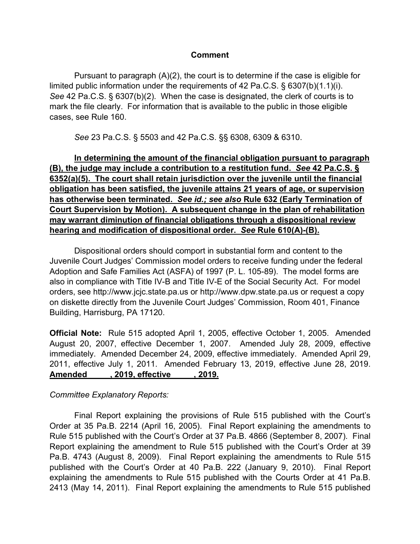### **Comment**

Pursuant to paragraph (A)(2), the court is to determine if the case is eligible for limited public information under the requirements of 42 Pa.C.S. § 6307(b)(1.1)(i). *See* 42 Pa.C.S. § 6307(b)(2). When the case is designated, the clerk of courts is to mark the file clearly. For information that is available to the public in those eligible cases, see Rule 160.

*See* 23 Pa.C.S. § 5503 and 42 Pa.C.S. §§ 6308, 6309 & 6310.

**In determining the amount of the financial obligation pursuant to paragraph (B), the judge may include a contribution to a restitution fund.** *See* **42 Pa.C.S. § 6352(a)(5). The court shall retain jurisdiction over the juvenile until the financial obligation has been satisfied, the juvenile attains 21 years of age, or supervision has otherwise been terminated.** *See id.; see also* **Rule 632 (Early Termination of Court Supervision by Motion). A subsequent change in the plan of rehabilitation may warrant diminution of financial obligations through a dispositional review hearing and modification of dispositional order.** *See* **Rule 610(A)-(B).**

Dispositional orders should comport in substantial form and content to the Juvenile Court Judges' Commission model orders to receive funding under the federal Adoption and Safe Families Act (ASFA) of 1997 (P. L. 105-89). The model forms are also in compliance with Title IV-B and Title IV-E of the Social Security Act. For model orders, see http://www.jcjc.state.pa.us or http://www.dpw.state.pa.us or request a copy on diskette directly from the Juvenile Court Judges' Commission, Room 401, Finance Building, Harrisburg, PA 17120.

**Official Note:** Rule 515 adopted April 1, 2005, effective October 1, 2005. Amended August 20, 2007, effective December 1, 2007. Amended July 28, 2009, effective immediately. Amended December 24, 2009, effective immediately. Amended April 29, 2011, effective July 1, 2011. Amended February 13, 2019, effective June 28, 2019. **Amended \_\_ \_\_, 2019, effective \_\_ \_\_, 2019.**

### *Committee Explanatory Reports:*

 Final Report explaining the provisions of Rule 515 published with the Court's Order at 35 Pa.B. 2214 (April 16, 2005). Final Report explaining the amendments to Rule 515 published with the Court's Order at 37 Pa.B. 4866 (September 8, 2007). Final Report explaining the amendment to Rule 515 published with the Court's Order at 39 Pa.B. 4743 (August 8, 2009). Final Report explaining the amendments to Rule 515 published with the Court's Order at 40 Pa.B. 222 (January 9, 2010). Final Report explaining the amendments to Rule 515 published with the Courts Order at 41 Pa.B. 2413 (May 14, 2011). Final Report explaining the amendments to Rule 515 published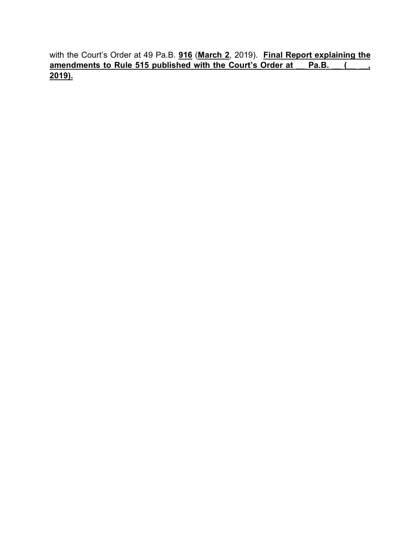with the Court's Order at 49 Pa.B. **916** (**March 2**, 2019). **Final Report explaining the <u>amendments to Rule 515 published with the Court's Order at Pa.B. (2004)</u> 2019).**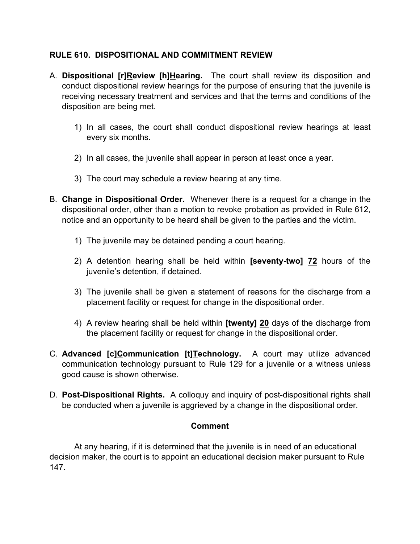# **RULE 610. DISPOSITIONAL AND COMMITMENT REVIEW**

- A. **Dispositional [r]Review [h]Hearing.** The court shall review its disposition and conduct dispositional review hearings for the purpose of ensuring that the juvenile is receiving necessary treatment and services and that the terms and conditions of the disposition are being met.
	- 1) In all cases, the court shall conduct dispositional review hearings at least every six months.
	- 2) In all cases, the juvenile shall appear in person at least once a year.
	- 3) The court may schedule a review hearing at any time.
- B. **Change in Dispositional Order.** Whenever there is a request for a change in the dispositional order, other than a motion to revoke probation as provided in Rule 612, notice and an opportunity to be heard shall be given to the parties and the victim.
	- 1) The juvenile may be detained pending a court hearing.
	- 2) A detention hearing shall be held within **[seventy-two] 72** hours of the juvenile's detention, if detained.
	- 3) The juvenile shall be given a statement of reasons for the discharge from a placement facility or request for change in the dispositional order.
	- 4) A review hearing shall be held within **[twenty] 20** days of the discharge from the placement facility or request for change in the dispositional order.
- C. **Advanced [c]Communication [t]Technology.** A court may utilize advanced communication technology pursuant to Rule 129 for a juvenile or a witness unless good cause is shown otherwise.
- D. **Post-Dispositional Rights.** A colloquy and inquiry of post-dispositional rights shall be conducted when a juvenile is aggrieved by a change in the dispositional order.

### **Comment**

 At any hearing, if it is determined that the juvenile is in need of an educational decision maker, the court is to appoint an educational decision maker pursuant to Rule 147.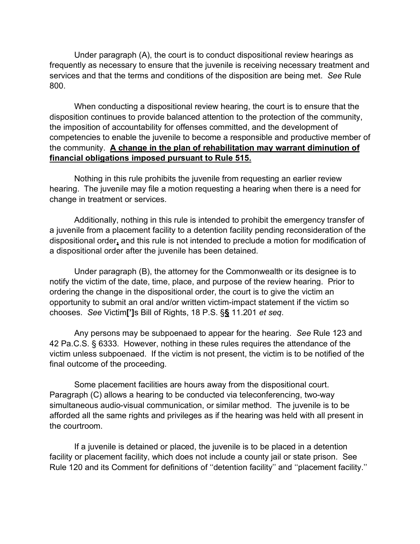Under paragraph (A), the court is to conduct dispositional review hearings as frequently as necessary to ensure that the juvenile is receiving necessary treatment and services and that the terms and conditions of the disposition are being met. *See* Rule 800.

 When conducting a dispositional review hearing, the court is to ensure that the disposition continues to provide balanced attention to the protection of the community, the imposition of accountability for offenses committed, and the development of competencies to enable the juvenile to become a responsible and productive member of the community. **A change in the plan of rehabilitation may warrant diminution of financial obligations imposed pursuant to Rule 515.**

 Nothing in this rule prohibits the juvenile from requesting an earlier review hearing. The juvenile may file a motion requesting a hearing when there is a need for change in treatment or services.

 Additionally, nothing in this rule is intended to prohibit the emergency transfer of a juvenile from a placement facility to a detention facility pending reconsideration of the dispositional order**,** and this rule is not intended to preclude a motion for modification of a dispositional order after the juvenile has been detained.

 Under paragraph (B), the attorney for the Commonwealth or its designee is to notify the victim of the date, time, place, and purpose of the review hearing. Prior to ordering the change in the dispositional order, the court is to give the victim an opportunity to submit an oral and/or written victim-impact statement if the victim so chooses. *See* Victim**[']**s Bill of Rights, 18 P.S. §**§** 11.201 *et seq*.

 Any persons may be subpoenaed to appear for the hearing. *See* Rule 123 and 42 Pa.C.S. § 6333. However, nothing in these rules requires the attendance of the victim unless subpoenaed. If the victim is not present, the victim is to be notified of the final outcome of the proceeding.

 Some placement facilities are hours away from the dispositional court. Paragraph (C) allows a hearing to be conducted via teleconferencing, two-way simultaneous audio-visual communication, or similar method. The juvenile is to be afforded all the same rights and privileges as if the hearing was held with all present in the courtroom.

 If a juvenile is detained or placed, the juvenile is to be placed in a detention facility or placement facility, which does not include a county jail or state prison. See Rule 120 and its Comment for definitions of ''detention facility'' and ''placement facility.''